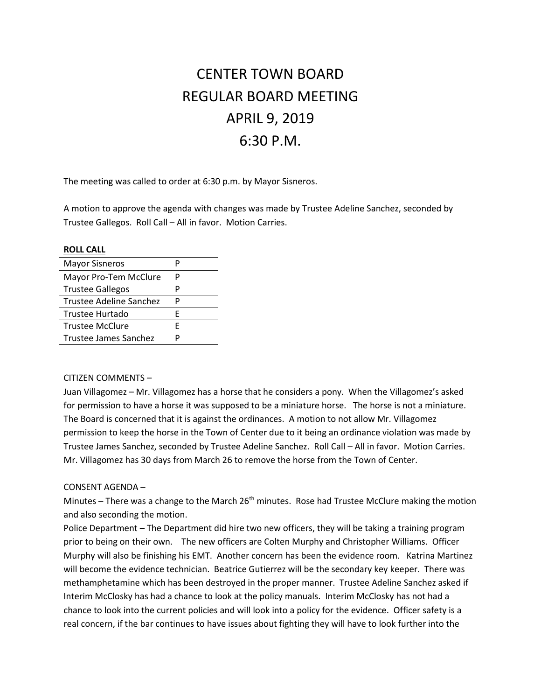## CENTER TOWN BOARD REGULAR BOARD MEETING APRIL 9, 2019 6:30 P.M.

The meeting was called to order at 6:30 p.m. by Mayor Sisneros.

A motion to approve the agenda with changes was made by Trustee Adeline Sanchez, seconded by Trustee Gallegos. Roll Call – All in favor. Motion Carries.

**ROLL CALL**

| <b>Mayor Sisneros</b>        | P |
|------------------------------|---|
| Mayor Pro-Tem McClure        | P |
| <b>Trustee Gallegos</b>      | P |
| Trustee Adeline Sanchez      | P |
| Trustee Hurtado              | F |
| <b>Trustee McClure</b>       | F |
| <b>Trustee James Sanchez</b> | P |

## CITIZEN COMMENTS –

Juan Villagomez – Mr. Villagomez has a horse that he considers a pony. When the Villagomez's asked for permission to have a horse it was supposed to be a miniature horse. The horse is not a miniature. The Board is concerned that it is against the ordinances. A motion to not allow Mr. Villagomez permission to keep the horse in the Town of Center due to it being an ordinance violation was made by Trustee James Sanchez, seconded by Trustee Adeline Sanchez. Roll Call – All in favor. Motion Carries. Mr. Villagomez has 30 days from March 26 to remove the horse from the Town of Center.

## CONSENT AGENDA –

Minutes – There was a change to the March  $26<sup>th</sup>$  minutes. Rose had Trustee McClure making the motion and also seconding the motion.

Police Department – The Department did hire two new officers, they will be taking a training program prior to being on their own. The new officers are Colten Murphy and Christopher Williams. Officer Murphy will also be finishing his EMT. Another concern has been the evidence room. Katrina Martinez will become the evidence technician. Beatrice Gutierrez will be the secondary key keeper. There was methamphetamine which has been destroyed in the proper manner. Trustee Adeline Sanchez asked if Interim McClosky has had a chance to look at the policy manuals. Interim McClosky has not had a chance to look into the current policies and will look into a policy for the evidence. Officer safety is a real concern, if the bar continues to have issues about fighting they will have to look further into the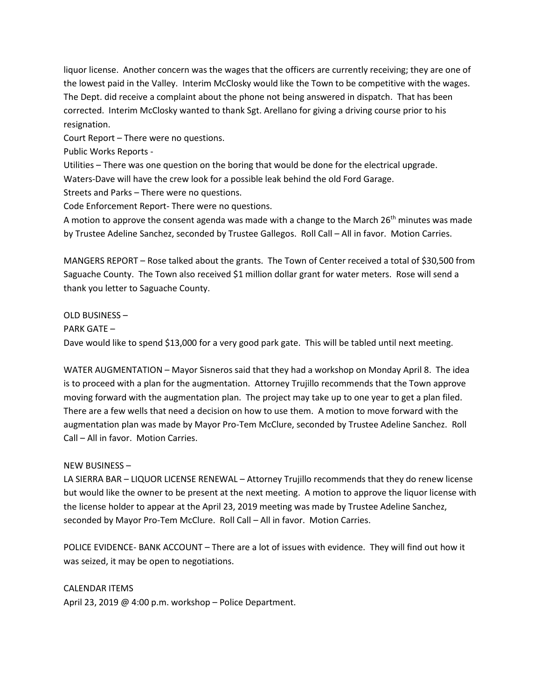liquor license. Another concern was the wages that the officers are currently receiving; they are one of the lowest paid in the Valley. Interim McClosky would like the Town to be competitive with the wages. The Dept. did receive a complaint about the phone not being answered in dispatch. That has been corrected. Interim McClosky wanted to thank Sgt. Arellano for giving a driving course prior to his resignation.

Court Report – There were no questions.

Public Works Reports -

Utilities – There was one question on the boring that would be done for the electrical upgrade.

Waters-Dave will have the crew look for a possible leak behind the old Ford Garage.

Streets and Parks – There were no questions.

Code Enforcement Report- There were no questions.

A motion to approve the consent agenda was made with a change to the March  $26<sup>th</sup>$  minutes was made by Trustee Adeline Sanchez, seconded by Trustee Gallegos. Roll Call – All in favor. Motion Carries.

MANGERS REPORT – Rose talked about the grants. The Town of Center received a total of \$30,500 from Saguache County. The Town also received \$1 million dollar grant for water meters. Rose will send a thank you letter to Saguache County.

OLD BUSINESS –

PARK GATE –

Dave would like to spend \$13,000 for a very good park gate. This will be tabled until next meeting.

WATER AUGMENTATION – Mayor Sisneros said that they had a workshop on Monday April 8. The idea is to proceed with a plan for the augmentation. Attorney Trujillo recommends that the Town approve moving forward with the augmentation plan. The project may take up to one year to get a plan filed. There are a few wells that need a decision on how to use them. A motion to move forward with the augmentation plan was made by Mayor Pro-Tem McClure, seconded by Trustee Adeline Sanchez. Roll Call – All in favor. Motion Carries.

## NEW BUSINESS –

LA SIERRA BAR – LIQUOR LICENSE RENEWAL – Attorney Trujillo recommends that they do renew license but would like the owner to be present at the next meeting. A motion to approve the liquor license with the license holder to appear at the April 23, 2019 meeting was made by Trustee Adeline Sanchez, seconded by Mayor Pro-Tem McClure. Roll Call – All in favor. Motion Carries.

POLICE EVIDENCE- BANK ACCOUNT – There are a lot of issues with evidence. They will find out how it was seized, it may be open to negotiations.

CALENDAR ITEMS April 23, 2019 @ 4:00 p.m. workshop – Police Department.